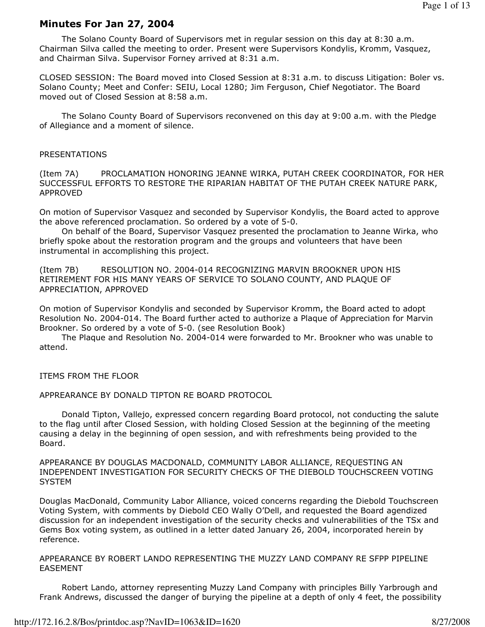## Minutes For Jan 27, 2004

 The Solano County Board of Supervisors met in regular session on this day at 8:30 a.m. Chairman Silva called the meeting to order. Present were Supervisors Kondylis, Kromm, Vasquez, and Chairman Silva. Supervisor Forney arrived at 8:31 a.m.

CLOSED SESSION: The Board moved into Closed Session at 8:31 a.m. to discuss Litigation: Boler vs. Solano County; Meet and Confer: SEIU, Local 1280; Jim Ferguson, Chief Negotiator. The Board moved out of Closed Session at 8:58 a.m.

 The Solano County Board of Supervisors reconvened on this day at 9:00 a.m. with the Pledge of Allegiance and a moment of silence.

#### PRESENTATIONS

(Item 7A) PROCLAMATION HONORING JEANNE WIRKA, PUTAH CREEK COORDINATOR, FOR HER SUCCESSFUL EFFORTS TO RESTORE THE RIPARIAN HABITAT OF THE PUTAH CREEK NATURE PARK, APPROVED

On motion of Supervisor Vasquez and seconded by Supervisor Kondylis, the Board acted to approve the above referenced proclamation. So ordered by a vote of 5-0.

 On behalf of the Board, Supervisor Vasquez presented the proclamation to Jeanne Wirka, who briefly spoke about the restoration program and the groups and volunteers that have been instrumental in accomplishing this project.

(Item 7B) RESOLUTION NO. 2004-014 RECOGNIZING MARVIN BROOKNER UPON HIS RETIREMENT FOR HIS MANY YEARS OF SERVICE TO SOLANO COUNTY, AND PLAQUE OF APPRECIATION, APPROVED

On motion of Supervisor Kondylis and seconded by Supervisor Kromm, the Board acted to adopt Resolution No. 2004-014. The Board further acted to authorize a Plaque of Appreciation for Marvin Brookner. So ordered by a vote of 5-0. (see Resolution Book)

 The Plaque and Resolution No. 2004-014 were forwarded to Mr. Brookner who was unable to attend.

ITEMS FROM THE FLOOR

APPREARANCE BY DONALD TIPTON RE BOARD PROTOCOL

 Donald Tipton, Vallejo, expressed concern regarding Board protocol, not conducting the salute to the flag until after Closed Session, with holding Closed Session at the beginning of the meeting causing a delay in the beginning of open session, and with refreshments being provided to the Board.

APPEARANCE BY DOUGLAS MACDONALD, COMMUNITY LABOR ALLIANCE, REQUESTING AN INDEPENDENT INVESTIGATION FOR SECURITY CHECKS OF THE DIEBOLD TOUCHSCREEN VOTING **SYSTEM** 

Douglas MacDonald, Community Labor Alliance, voiced concerns regarding the Diebold Touchscreen Voting System, with comments by Diebold CEO Wally O'Dell, and requested the Board agendized discussion for an independent investigation of the security checks and vulnerabilities of the TSx and Gems Box voting system, as outlined in a letter dated January 26, 2004, incorporated herein by reference.

APPEARANCE BY ROBERT LANDO REPRESENTING THE MUZZY LAND COMPANY RE SFPP PIPELINE EASEMENT

 Robert Lando, attorney representing Muzzy Land Company with principles Billy Yarbrough and Frank Andrews, discussed the danger of burying the pipeline at a depth of only 4 feet, the possibility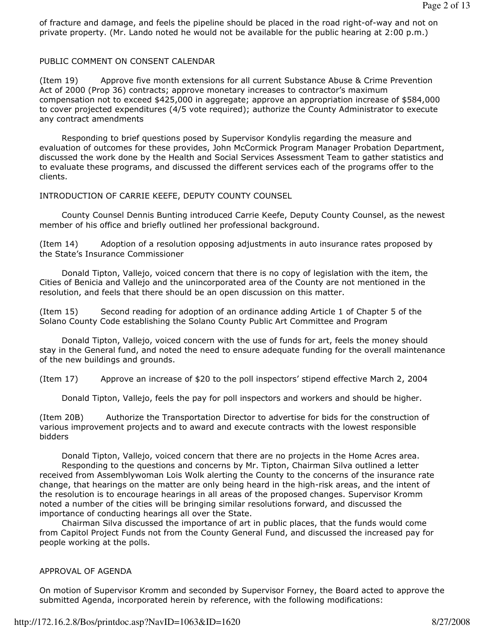of fracture and damage, and feels the pipeline should be placed in the road right-of-way and not on private property. (Mr. Lando noted he would not be available for the public hearing at 2:00 p.m.)

# PUBLIC COMMENT ON CONSENT CALENDAR

(Item 19) Approve five month extensions for all current Substance Abuse & Crime Prevention Act of 2000 (Prop 36) contracts; approve monetary increases to contractor's maximum compensation not to exceed \$425,000 in aggregate; approve an appropriation increase of \$584,000 to cover projected expenditures (4/5 vote required); authorize the County Administrator to execute any contract amendments

 Responding to brief questions posed by Supervisor Kondylis regarding the measure and evaluation of outcomes for these provides, John McCormick Program Manager Probation Department, discussed the work done by the Health and Social Services Assessment Team to gather statistics and to evaluate these programs, and discussed the different services each of the programs offer to the clients.

INTRODUCTION OF CARRIE KEEFE, DEPUTY COUNTY COUNSEL

 County Counsel Dennis Bunting introduced Carrie Keefe, Deputy County Counsel, as the newest member of his office and briefly outlined her professional background.

(Item 14) Adoption of a resolution opposing adjustments in auto insurance rates proposed by the State's Insurance Commissioner

 Donald Tipton, Vallejo, voiced concern that there is no copy of legislation with the item, the Cities of Benicia and Vallejo and the unincorporated area of the County are not mentioned in the resolution, and feels that there should be an open discussion on this matter.

(Item 15) Second reading for adoption of an ordinance adding Article 1 of Chapter 5 of the Solano County Code establishing the Solano County Public Art Committee and Program

 Donald Tipton, Vallejo, voiced concern with the use of funds for art, feels the money should stay in the General fund, and noted the need to ensure adequate funding for the overall maintenance of the new buildings and grounds.

(Item 17) Approve an increase of \$20 to the poll inspectors' stipend effective March 2, 2004

Donald Tipton, Vallejo, feels the pay for poll inspectors and workers and should be higher.

(Item 20B) Authorize the Transportation Director to advertise for bids for the construction of various improvement projects and to award and execute contracts with the lowest responsible bidders

 Donald Tipton, Vallejo, voiced concern that there are no projects in the Home Acres area. Responding to the questions and concerns by Mr. Tipton, Chairman Silva outlined a letter received from Assemblywoman Lois Wolk alerting the County to the concerns of the insurance rate change, that hearings on the matter are only being heard in the high-risk areas, and the intent of the resolution is to encourage hearings in all areas of the proposed changes. Supervisor Kromm noted a number of the cities will be bringing similar resolutions forward, and discussed the importance of conducting hearings all over the State.

 Chairman Silva discussed the importance of art in public places, that the funds would come from Capitol Project Funds not from the County General Fund, and discussed the increased pay for people working at the polls.

## APPROVAL OF AGENDA

On motion of Supervisor Kromm and seconded by Supervisor Forney, the Board acted to approve the submitted Agenda, incorporated herein by reference, with the following modifications: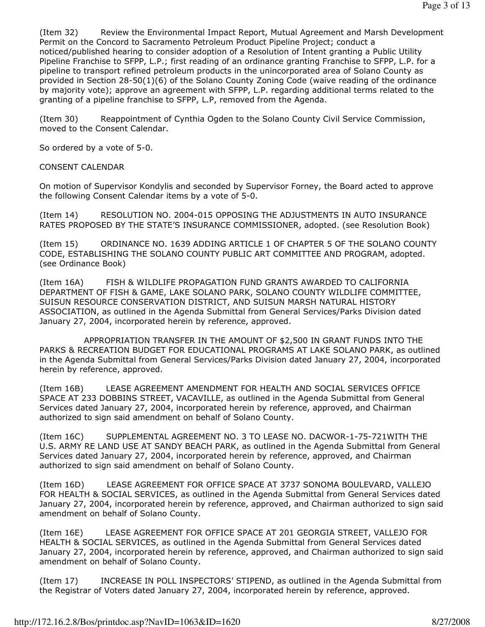(Item 32) Review the Environmental Impact Report, Mutual Agreement and Marsh Development Permit on the Concord to Sacramento Petroleum Product Pipeline Project; conduct a noticed/published hearing to consider adoption of a Resolution of Intent granting a Public Utility Pipeline Franchise to SFPP, L.P.; first reading of an ordinance granting Franchise to SFPP, L.P. for a pipeline to transport refined petroleum products in the unincorporated area of Solano County as provided in Section 28-50(1)(6) of the Solano County Zoning Code (waive reading of the ordinance by majority vote); approve an agreement with SFPP, L.P. regarding additional terms related to the granting of a pipeline franchise to SFPP, L.P, removed from the Agenda.

(Item 30) Reappointment of Cynthia Ogden to the Solano County Civil Service Commission, moved to the Consent Calendar.

So ordered by a vote of 5-0.

## CONSENT CALENDAR

On motion of Supervisor Kondylis and seconded by Supervisor Forney, the Board acted to approve the following Consent Calendar items by a vote of 5-0.

(Item 14) RESOLUTION NO. 2004-015 OPPOSING THE ADJUSTMENTS IN AUTO INSURANCE RATES PROPOSED BY THE STATE'S INSURANCE COMMISSIONER, adopted. (see Resolution Book)

(Item 15) ORDINANCE NO. 1639 ADDING ARTICLE 1 OF CHAPTER 5 OF THE SOLANO COUNTY CODE, ESTABLISHING THE SOLANO COUNTY PUBLIC ART COMMITTEE AND PROGRAM, adopted. (see Ordinance Book)

(Item 16A) FISH & WILDLIFE PROPAGATION FUND GRANTS AWARDED TO CALIFORNIA DEPARTMENT OF FISH & GAME, LAKE SOLANO PARK, SOLANO COUNTY WILDLIFE COMMITTEE, SUISUN RESOURCE CONSERVATION DISTRICT, AND SUISUN MARSH NATURAL HISTORY ASSOCIATION, as outlined in the Agenda Submittal from General Services/Parks Division dated January 27, 2004, incorporated herein by reference, approved.

 APPROPRIATION TRANSFER IN THE AMOUNT OF \$2,500 IN GRANT FUNDS INTO THE PARKS & RECREATION BUDGET FOR EDUCATIONAL PROGRAMS AT LAKE SOLANO PARK, as outlined in the Agenda Submittal from General Services/Parks Division dated January 27, 2004, incorporated herein by reference, approved.

(Item 16B) LEASE AGREEMENT AMENDMENT FOR HEALTH AND SOCIAL SERVICES OFFICE SPACE AT 233 DOBBINS STREET, VACAVILLE, as outlined in the Agenda Submittal from General Services dated January 27, 2004, incorporated herein by reference, approved, and Chairman authorized to sign said amendment on behalf of Solano County.

(Item 16C) SUPPLEMENTAL AGREEMENT NO. 3 TO LEASE NO. DACWOR-1-75-721WITH THE U.S. ARMY RE LAND USE AT SANDY BEACH PARK, as outlined in the Agenda Submittal from General Services dated January 27, 2004, incorporated herein by reference, approved, and Chairman authorized to sign said amendment on behalf of Solano County.

(Item 16D) LEASE AGREEMENT FOR OFFICE SPACE AT 3737 SONOMA BOULEVARD, VALLEJO FOR HEALTH & SOCIAL SERVICES, as outlined in the Agenda Submittal from General Services dated January 27, 2004, incorporated herein by reference, approved, and Chairman authorized to sign said amendment on behalf of Solano County.

(Item 16E) LEASE AGREEMENT FOR OFFICE SPACE AT 201 GEORGIA STREET, VALLEJO FOR HEALTH & SOCIAL SERVICES, as outlined in the Agenda Submittal from General Services dated January 27, 2004, incorporated herein by reference, approved, and Chairman authorized to sign said amendment on behalf of Solano County.

(Item 17) INCREASE IN POLL INSPECTORS' STIPEND, as outlined in the Agenda Submittal from the Registrar of Voters dated January 27, 2004, incorporated herein by reference, approved.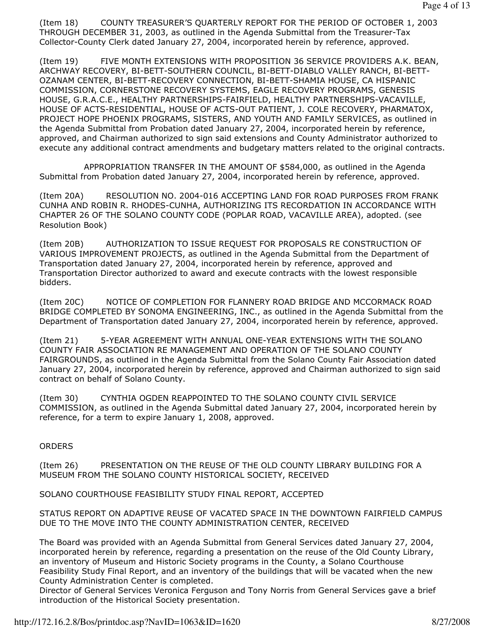(Item 18) COUNTY TREASURER'S QUARTERLY REPORT FOR THE PERIOD OF OCTOBER 1, 2003 THROUGH DECEMBER 31, 2003, as outlined in the Agenda Submittal from the Treasurer-Tax Collector-County Clerk dated January 27, 2004, incorporated herein by reference, approved.

(Item 19) FIVE MONTH EXTENSIONS WITH PROPOSITION 36 SERVICE PROVIDERS A.K. BEAN, ARCHWAY RECOVERY, BI-BETT-SOUTHERN COUNCIL, BI-BETT-DIABLO VALLEY RANCH, BI-BETT-OZANAM CENTER, BI-BETT-RECOVERY CONNECTION, BI-BETT-SHAMIA HOUSE, CA HISPANIC COMMISSION, CORNERSTONE RECOVERY SYSTEMS, EAGLE RECOVERY PROGRAMS, GENESIS HOUSE, G.R.A.C.E., HEALTHY PARTNERSHIPS-FAIRFIELD, HEALTHY PARTNERSHIPS-VACAVILLE, HOUSE OF ACTS-RESIDENTIAL, HOUSE OF ACTS-OUT PATIENT, J. COLE RECOVERY, PHARMATOX, PROJECT HOPE PHOENIX PROGRAMS, SISTERS, AND YOUTH AND FAMILY SERVICES, as outlined in the Agenda Submittal from Probation dated January 27, 2004, incorporated herein by reference, approved, and Chairman authorized to sign said extensions and County Administrator authorized to execute any additional contract amendments and budgetary matters related to the original contracts.

 APPROPRIATION TRANSFER IN THE AMOUNT OF \$584,000, as outlined in the Agenda Submittal from Probation dated January 27, 2004, incorporated herein by reference, approved.

(Item 20A) RESOLUTION NO. 2004-016 ACCEPTING LAND FOR ROAD PURPOSES FROM FRANK CUNHA AND ROBIN R. RHODES-CUNHA, AUTHORIZING ITS RECORDATION IN ACCORDANCE WITH CHAPTER 26 OF THE SOLANO COUNTY CODE (POPLAR ROAD, VACAVILLE AREA), adopted. (see Resolution Book)

(Item 20B) AUTHORIZATION TO ISSUE REQUEST FOR PROPOSALS RE CONSTRUCTION OF VARIOUS IMPROVEMENT PROJECTS, as outlined in the Agenda Submittal from the Department of Transportation dated January 27, 2004, incorporated herein by reference, approved and Transportation Director authorized to award and execute contracts with the lowest responsible bidders.

(Item 20C) NOTICE OF COMPLETION FOR FLANNERY ROAD BRIDGE AND MCCORMACK ROAD BRIDGE COMPLETED BY SONOMA ENGINEERING, INC., as outlined in the Agenda Submittal from the Department of Transportation dated January 27, 2004, incorporated herein by reference, approved.

(Item 21) 5-YEAR AGREEMENT WITH ANNUAL ONE-YEAR EXTENSIONS WITH THE SOLANO COUNTY FAIR ASSOCIATION RE MANAGEMENT AND OPERATION OF THE SOLANO COUNTY FAIRGROUNDS, as outlined in the Agenda Submittal from the Solano County Fair Association dated January 27, 2004, incorporated herein by reference, approved and Chairman authorized to sign said contract on behalf of Solano County.

(Item 30) CYNTHIA OGDEN REAPPOINTED TO THE SOLANO COUNTY CIVIL SERVICE COMMISSION, as outlined in the Agenda Submittal dated January 27, 2004, incorporated herein by reference, for a term to expire January 1, 2008, approved.

## **ORDERS**

(Item 26) PRESENTATION ON THE REUSE OF THE OLD COUNTY LIBRARY BUILDING FOR A MUSEUM FROM THE SOLANO COUNTY HISTORICAL SOCIETY, RECEIVED

SOLANO COURTHOUSE FEASIBILITY STUDY FINAL REPORT, ACCEPTED

STATUS REPORT ON ADAPTIVE REUSE OF VACATED SPACE IN THE DOWNTOWN FAIRFIELD CAMPUS DUE TO THE MOVE INTO THE COUNTY ADMINISTRATION CENTER, RECEIVED

The Board was provided with an Agenda Submittal from General Services dated January 27, 2004, incorporated herein by reference, regarding a presentation on the reuse of the Old County Library, an inventory of Museum and Historic Society programs in the County, a Solano Courthouse Feasibility Study Final Report, and an inventory of the buildings that will be vacated when the new County Administration Center is completed.

Director of General Services Veronica Ferguson and Tony Norris from General Services gave a brief introduction of the Historical Society presentation.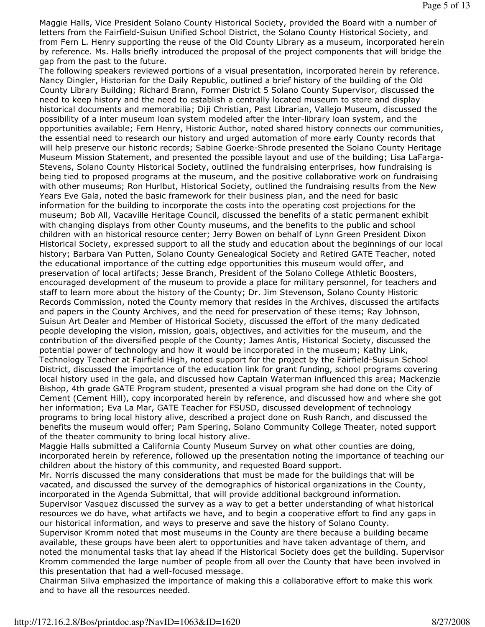Maggie Halls, Vice President Solano County Historical Society, provided the Board with a number of letters from the Fairfield-Suisun Unified School District, the Solano County Historical Society, and from Fern L. Henry supporting the reuse of the Old County Library as a museum, incorporated herein by reference. Ms. Halls briefly introduced the proposal of the project components that will bridge the gap from the past to the future.

The following speakers reviewed portions of a visual presentation, incorporated herein by reference. Nancy Dingler, Historian for the Daily Republic, outlined a brief history of the building of the Old County Library Building; Richard Brann, Former District 5 Solano County Supervisor, discussed the need to keep history and the need to establish a centrally located museum to store and display historical documents and memorabilia; Diji Christian, Past Librarian, Vallejo Museum, discussed the possibility of a inter museum loan system modeled after the inter-library loan system, and the opportunities available; Fern Henry, Historic Author, noted shared history connects our communities, the essential need to research our history and urged automation of more early County records that will help preserve our historic records; Sabine Goerke-Shrode presented the Solano County Heritage Museum Mission Statement, and presented the possible layout and use of the building; Lisa LaFarga-Stevens, Solano County Historical Society, outlined the fundraising enterprises, how fundraising is being tied to proposed programs at the museum, and the positive collaborative work on fundraising with other museums; Ron Hurlbut, Historical Society, outlined the fundraising results from the New Years Eve Gala, noted the basic framework for their business plan, and the need for basic information for the building to incorporate the costs into the operating cost projections for the museum; Bob All, Vacaville Heritage Council, discussed the benefits of a static permanent exhibit with changing displays from other County museums, and the benefits to the public and school children with an historical resource center; Jerry Bowen on behalf of Lynn Green President Dixon Historical Society, expressed support to all the study and education about the beginnings of our local history; Barbara Van Putten, Solano County Genealogical Society and Retired GATE Teacher, noted the educational importance of the cutting edge opportunities this museum would offer, and preservation of local artifacts; Jesse Branch, President of the Solano College Athletic Boosters, encouraged development of the museum to provide a place for military personnel, for teachers and staff to learn more about the history of the County; Dr. Jim Stevenson, Solano County Historic Records Commission, noted the County memory that resides in the Archives, discussed the artifacts and papers in the County Archives, and the need for preservation of these items; Ray Johnson, Suisun Art Dealer and Member of Historical Society, discussed the effort of the many dedicated people developing the vision, mission, goals, objectives, and activities for the museum, and the contribution of the diversified people of the County; James Antis, Historical Society, discussed the potential power of technology and how it would be incorporated in the museum; Kathy Link, Technology Teacher at Fairfield High, noted support for the project by the Fairfield-Suisun School District, discussed the importance of the education link for grant funding, school programs covering local history used in the gala, and discussed how Captain Waterman influenced this area; Mackenzie Bishop, 4th grade GATE Program student, presented a visual program she had done on the City of Cement (Cement Hill), copy incorporated herein by reference, and discussed how and where she got her information; Eva La Mar, GATE Teacher for FSUSD, discussed development of technology programs to bring local history alive, described a project done on Rush Ranch, and discussed the benefits the museum would offer; Pam Spering, Solano Community College Theater, noted support of the theater community to bring local history alive.

Maggie Halls submitted a California County Museum Survey on what other counties are doing, incorporated herein by reference, followed up the presentation noting the importance of teaching our children about the history of this community, and requested Board support.

Mr. Norris discussed the many considerations that must be made for the buildings that will be vacated, and discussed the survey of the demographics of historical organizations in the County, incorporated in the Agenda Submittal, that will provide additional background information. Supervisor Vasquez discussed the survey as a way to get a better understanding of what historical resources we do have, what artifacts we have, and to begin a cooperative effort to find any gaps in our historical information, and ways to preserve and save the history of Solano County.

Supervisor Kromm noted that most museums in the County are there because a building became available, these groups have been alert to opportunities and have taken advantage of them, and noted the monumental tasks that lay ahead if the Historical Society does get the building. Supervisor Kromm commended the large number of people from all over the County that have been involved in this presentation that had a well-focused message.

Chairman Silva emphasized the importance of making this a collaborative effort to make this work and to have all the resources needed.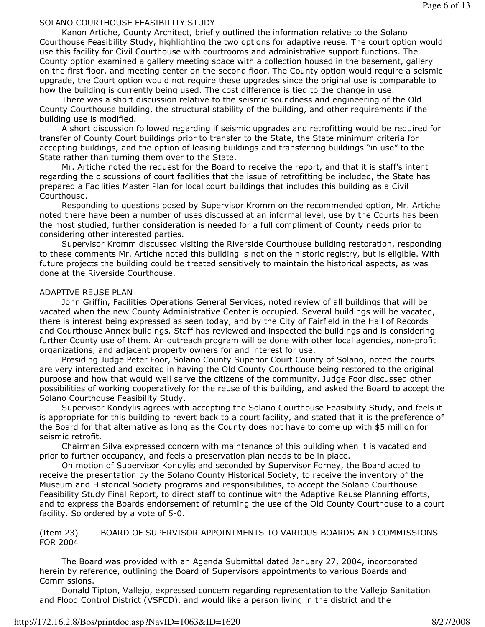### Page 6 of 13

### SOLANO COURTHOUSE FEASIBILITY STUDY

 Kanon Artiche, County Architect, briefly outlined the information relative to the Solano Courthouse Feasibility Study, highlighting the two options for adaptive reuse. The court option would use this facility for Civil Courthouse with courtrooms and administrative support functions. The County option examined a gallery meeting space with a collection housed in the basement, gallery on the first floor, and meeting center on the second floor. The County option would require a seismic upgrade, the Court option would not require these upgrades since the original use is comparable to how the building is currently being used. The cost difference is tied to the change in use.

 There was a short discussion relative to the seismic soundness and engineering of the Old County Courthouse building, the structural stability of the building, and other requirements if the building use is modified.

 A short discussion followed regarding if seismic upgrades and retrofitting would be required for transfer of County Court buildings prior to transfer to the State, the State minimum criteria for accepting buildings, and the option of leasing buildings and transferring buildings "in use" to the State rather than turning them over to the State.

 Mr. Artiche noted the request for the Board to receive the report, and that it is staff's intent regarding the discussions of court facilities that the issue of retrofitting be included, the State has prepared a Facilities Master Plan for local court buildings that includes this building as a Civil Courthouse.

 Responding to questions posed by Supervisor Kromm on the recommended option, Mr. Artiche noted there have been a number of uses discussed at an informal level, use by the Courts has been the most studied, further consideration is needed for a full compliment of County needs prior to considering other interested parties.

 Supervisor Kromm discussed visiting the Riverside Courthouse building restoration, responding to these comments Mr. Artiche noted this building is not on the historic registry, but is eligible. With future projects the building could be treated sensitively to maintain the historical aspects, as was done at the Riverside Courthouse.

### ADAPTIVE REUSE PLAN

 John Griffin, Facilities Operations General Services, noted review of all buildings that will be vacated when the new County Administrative Center is occupied. Several buildings will be vacated, there is interest being expressed as seen today, and by the City of Fairfield in the Hall of Records and Courthouse Annex buildings. Staff has reviewed and inspected the buildings and is considering further County use of them. An outreach program will be done with other local agencies, non-profit organizations, and adjacent property owners for and interest for use.

 Presiding Judge Peter Foor, Solano County Superior Court County of Solano, noted the courts are very interested and excited in having the Old County Courthouse being restored to the original purpose and how that would well serve the citizens of the community. Judge Foor discussed other possibilities of working cooperatively for the reuse of this building, and asked the Board to accept the Solano Courthouse Feasibility Study.

 Supervisor Kondylis agrees with accepting the Solano Courthouse Feasibility Study, and feels it is appropriate for this building to revert back to a court facility, and stated that it is the preference of the Board for that alternative as long as the County does not have to come up with \$5 million for seismic retrofit.

 Chairman Silva expressed concern with maintenance of this building when it is vacated and prior to further occupancy, and feels a preservation plan needs to be in place.

 On motion of Supervisor Kondylis and seconded by Supervisor Forney, the Board acted to receive the presentation by the Solano County Historical Society, to receive the inventory of the Museum and Historical Society programs and responsibilities, to accept the Solano Courthouse Feasibility Study Final Report, to direct staff to continue with the Adaptive Reuse Planning efforts, and to express the Boards endorsement of returning the use of the Old County Courthouse to a court facility. So ordered by a vote of 5-0.

(Item 23) BOARD OF SUPERVISOR APPOINTMENTS TO VARIOUS BOARDS AND COMMISSIONS FOR 2004

 The Board was provided with an Agenda Submittal dated January 27, 2004, incorporated herein by reference, outlining the Board of Supervisors appointments to various Boards and Commissions.

 Donald Tipton, Vallejo, expressed concern regarding representation to the Vallejo Sanitation and Flood Control District (VSFCD), and would like a person living in the district and the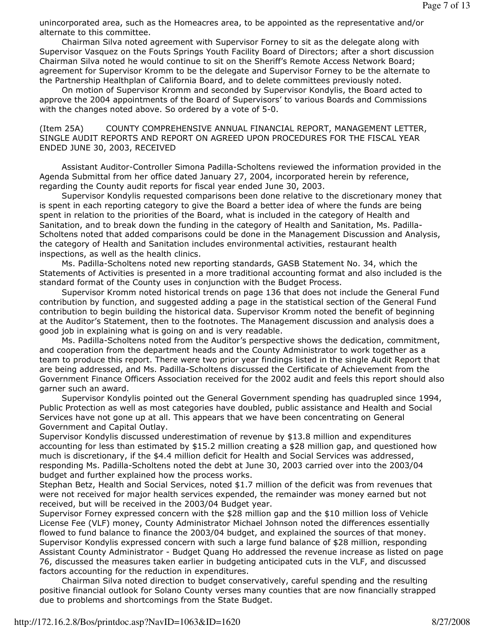unincorporated area, such as the Homeacres area, to be appointed as the representative and/or alternate to this committee.

 Chairman Silva noted agreement with Supervisor Forney to sit as the delegate along with Supervisor Vasquez on the Fouts Springs Youth Facility Board of Directors; after a short discussion Chairman Silva noted he would continue to sit on the Sheriff's Remote Access Network Board; agreement for Supervisor Kromm to be the delegate and Supervisor Forney to be the alternate to the Partnership Healthplan of California Board, and to delete committees previously noted.

 On motion of Supervisor Kromm and seconded by Supervisor Kondylis, the Board acted to approve the 2004 appointments of the Board of Supervisors' to various Boards and Commissions with the changes noted above. So ordered by a vote of 5-0.

(Item 25A) COUNTY COMPREHENSIVE ANNUAL FINANCIAL REPORT, MANAGEMENT LETTER, SINGLE AUDIT REPORTS AND REPORT ON AGREED UPON PROCEDURES FOR THE FISCAL YEAR ENDED JUNE 30, 2003, RECEIVED

 Assistant Auditor-Controller Simona Padilla-Scholtens reviewed the information provided in the Agenda Submittal from her office dated January 27, 2004, incorporated herein by reference, regarding the County audit reports for fiscal year ended June 30, 2003.

 Supervisor Kondylis requested comparisons been done relative to the discretionary money that is spent in each reporting category to give the Board a better idea of where the funds are being spent in relation to the priorities of the Board, what is included in the category of Health and Sanitation, and to break down the funding in the category of Health and Sanitation, Ms. Padilla-Scholtens noted that added comparisons could be done in the Management Discussion and Analysis, the category of Health and Sanitation includes environmental activities, restaurant health inspections, as well as the health clinics.

 Ms. Padilla-Scholtens noted new reporting standards, GASB Statement No. 34, which the Statements of Activities is presented in a more traditional accounting format and also included is the standard format of the County uses in conjunction with the Budget Process.

 Supervisor Kromm noted historical trends on page 136 that does not include the General Fund contribution by function, and suggested adding a page in the statistical section of the General Fund contribution to begin building the historical data. Supervisor Kromm noted the benefit of beginning at the Auditor's Statement, then to the footnotes. The Management discussion and analysis does a good job in explaining what is going on and is very readable.

 Ms. Padilla-Scholtens noted from the Auditor's perspective shows the dedication, commitment, and cooperation from the department heads and the County Administrator to work together as a team to produce this report. There were two prior year findings listed in the single Audit Report that are being addressed, and Ms. Padilla-Scholtens discussed the Certificate of Achievement from the Government Finance Officers Association received for the 2002 audit and feels this report should also garner such an award.

 Supervisor Kondylis pointed out the General Government spending has quadrupled since 1994, Public Protection as well as most categories have doubled, public assistance and Health and Social Services have not gone up at all. This appears that we have been concentrating on General Government and Capital Outlay.

Supervisor Kondylis discussed underestimation of revenue by \$13.8 million and expenditures accounting for less than estimated by \$15.2 million creating a \$28 million gap, and questioned how much is discretionary, if the \$4.4 million deficit for Health and Social Services was addressed, responding Ms. Padilla-Scholtens noted the debt at June 30, 2003 carried over into the 2003/04 budget and further explained how the process works.

Stephan Betz, Health and Social Services, noted \$1.7 million of the deficit was from revenues that were not received for major health services expended, the remainder was money earned but not received, but will be received in the 2003/04 Budget year.

Supervisor Forney expressed concern with the \$28 million gap and the \$10 million loss of Vehicle License Fee (VLF) money, County Administrator Michael Johnson noted the differences essentially flowed to fund balance to finance the 2003/04 budget, and explained the sources of that money. Supervisor Kondylis expressed concern with such a large fund balance of \$28 million, responding Assistant County Administrator - Budget Quang Ho addressed the revenue increase as listed on page 76, discussed the measures taken earlier in budgeting anticipated cuts in the VLF, and discussed factors accounting for the reduction in expenditures.

 Chairman Silva noted direction to budget conservatively, careful spending and the resulting positive financial outlook for Solano County verses many counties that are now financially strapped due to problems and shortcomings from the State Budget.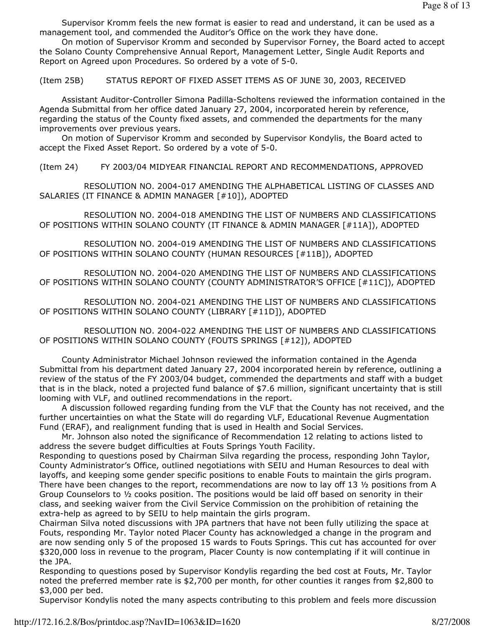Supervisor Kromm feels the new format is easier to read and understand, it can be used as a management tool, and commended the Auditor's Office on the work they have done.

 On motion of Supervisor Kromm and seconded by Supervisor Forney, the Board acted to accept the Solano County Comprehensive Annual Report, Management Letter, Single Audit Reports and Report on Agreed upon Procedures. So ordered by a vote of 5-0.

(Item 25B) STATUS REPORT OF FIXED ASSET ITEMS AS OF JUNE 30, 2003, RECEIVED

 Assistant Auditor-Controller Simona Padilla-Scholtens reviewed the information contained in the Agenda Submittal from her office dated January 27, 2004, incorporated herein by reference, regarding the status of the County fixed assets, and commended the departments for the many improvements over previous years.

 On motion of Supervisor Kromm and seconded by Supervisor Kondylis, the Board acted to accept the Fixed Asset Report. So ordered by a vote of 5-0.

(Item 24) FY 2003/04 MIDYEAR FINANCIAL REPORT AND RECOMMENDATIONS, APPROVED

 RESOLUTION NO. 2004-017 AMENDING THE ALPHABETICAL LISTING OF CLASSES AND SALARIES (IT FINANCE & ADMIN MANAGER [#10]), ADOPTED

 RESOLUTION NO. 2004-018 AMENDING THE LIST OF NUMBERS AND CLASSIFICATIONS OF POSITIONS WITHIN SOLANO COUNTY (IT FINANCE & ADMIN MANAGER [#11A]), ADOPTED

 RESOLUTION NO. 2004-019 AMENDING THE LIST OF NUMBERS AND CLASSIFICATIONS OF POSITIONS WITHIN SOLANO COUNTY (HUMAN RESOURCES [#11B]), ADOPTED

 RESOLUTION NO. 2004-020 AMENDING THE LIST OF NUMBERS AND CLASSIFICATIONS OF POSITIONS WITHIN SOLANO COUNTY (COUNTY ADMINISTRATOR'S OFFICE [#11C]), ADOPTED

 RESOLUTION NO. 2004-021 AMENDING THE LIST OF NUMBERS AND CLASSIFICATIONS OF POSITIONS WITHIN SOLANO COUNTY (LIBRARY [#11D]), ADOPTED

 RESOLUTION NO. 2004-022 AMENDING THE LIST OF NUMBERS AND CLASSIFICATIONS OF POSITIONS WITHIN SOLANO COUNTY (FOUTS SPRINGS [#12]), ADOPTED

 County Administrator Michael Johnson reviewed the information contained in the Agenda Submittal from his department dated January 27, 2004 incorporated herein by reference, outlining a review of the status of the FY 2003/04 budget, commended the departments and staff with a budget that is in the black, noted a projected fund balance of \$7.6 million, significant uncertainty that is still looming with VLF, and outlined recommendations in the report.

 A discussion followed regarding funding from the VLF that the County has not received, and the further uncertainties on what the State will do regarding VLF, Educational Revenue Augmentation Fund (ERAF), and realignment funding that is used in Health and Social Services.

 Mr. Johnson also noted the significance of Recommendation 12 relating to actions listed to address the severe budget difficulties at Fouts Springs Youth Facility.

Responding to questions posed by Chairman Silva regarding the process, responding John Taylor, County Administrator's Office, outlined negotiations with SEIU and Human Resources to deal with layoffs, and keeping some gender specific positions to enable Fouts to maintain the girls program. There have been changes to the report, recommendations are now to lay off 13  $\frac{1}{2}$  positions from A Group Counselors to  $\frac{1}{2}$  cooks position. The positions would be laid off based on senority in their class, and seeking waiver from the Civil Service Commission on the prohibition of retaining the extra-help as agreed to by SEIU to help maintain the girls program.

Chairman Silva noted discussions with JPA partners that have not been fully utilizing the space at Fouts, responding Mr. Taylor noted Placer County has acknowledged a change in the program and are now sending only 5 of the proposed 15 wards to Fouts Springs. This cut has accounted for over \$320,000 loss in revenue to the program, Placer County is now contemplating if it will continue in the JPA.

Responding to questions posed by Supervisor Kondylis regarding the bed cost at Fouts, Mr. Taylor noted the preferred member rate is \$2,700 per month, for other counties it ranges from \$2,800 to \$3,000 per bed.

Supervisor Kondylis noted the many aspects contributing to this problem and feels more discussion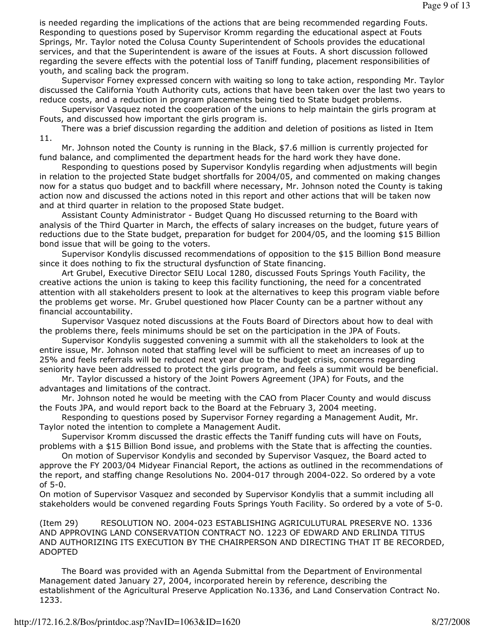is needed regarding the implications of the actions that are being recommended regarding Fouts. Responding to questions posed by Supervisor Kromm regarding the educational aspect at Fouts Springs, Mr. Taylor noted the Colusa County Superintendent of Schools provides the educational services, and that the Superintendent is aware of the issues at Fouts. A short discussion followed regarding the severe effects with the potential loss of Taniff funding, placement responsibilities of youth, and scaling back the program.

 Supervisor Forney expressed concern with waiting so long to take action, responding Mr. Taylor discussed the California Youth Authority cuts, actions that have been taken over the last two years to reduce costs, and a reduction in program placements being tied to State budget problems.

 Supervisor Vasquez noted the cooperation of the unions to help maintain the girls program at Fouts, and discussed how important the girls program is.

 There was a brief discussion regarding the addition and deletion of positions as listed in Item 11.

 Mr. Johnson noted the County is running in the Black, \$7.6 million is currently projected for fund balance, and complimented the department heads for the hard work they have done.

 Responding to questions posed by Supervisor Kondylis regarding when adjustments will begin in relation to the projected State budget shortfalls for 2004/05, and commented on making changes now for a status quo budget and to backfill where necessary, Mr. Johnson noted the County is taking action now and discussed the actions noted in this report and other actions that will be taken now and at third quarter in relation to the proposed State budget.

 Assistant County Administrator - Budget Quang Ho discussed returning to the Board with analysis of the Third Quarter in March, the effects of salary increases on the budget, future years of reductions due to the State budget, preparation for budget for 2004/05, and the looming \$15 Billion bond issue that will be going to the voters.

 Supervisor Kondylis discussed recommendations of opposition to the \$15 Billion Bond measure since it does nothing to fix the structural dysfunction of State financing.

 Art Grubel, Executive Director SEIU Local 1280, discussed Fouts Springs Youth Facility, the creative actions the union is taking to keep this facility functioning, the need for a concentrated attention with all stakeholders present to look at the alternatives to keep this program viable before the problems get worse. Mr. Grubel questioned how Placer County can be a partner without any financial accountability.

 Supervisor Vasquez noted discussions at the Fouts Board of Directors about how to deal with the problems there, feels minimums should be set on the participation in the JPA of Fouts.

 Supervisor Kondylis suggested convening a summit with all the stakeholders to look at the entire issue, Mr. Johnson noted that staffing level will be sufficient to meet an increases of up to 25% and feels referrals will be reduced next year due to the budget crisis, concerns regarding seniority have been addressed to protect the girls program, and feels a summit would be beneficial.

 Mr. Taylor discussed a history of the Joint Powers Agreement (JPA) for Fouts, and the advantages and limitations of the contract.

 Mr. Johnson noted he would be meeting with the CAO from Placer County and would discuss the Fouts JPA, and would report back to the Board at the February 3, 2004 meeting.

 Responding to questions posed by Supervisor Forney regarding a Management Audit, Mr. Taylor noted the intention to complete a Management Audit.

 Supervisor Kromm discussed the drastic effects the Taniff funding cuts will have on Fouts, problems with a \$15 Billion Bond issue, and problems with the State that is affecting the counties.

 On motion of Supervisor Kondylis and seconded by Supervisor Vasquez, the Board acted to approve the FY 2003/04 Midyear Financial Report, the actions as outlined in the recommendations of the report, and staffing change Resolutions No. 2004-017 through 2004-022. So ordered by a vote of 5-0.

On motion of Supervisor Vasquez and seconded by Supervisor Kondylis that a summit including all stakeholders would be convened regarding Fouts Springs Youth Facility. So ordered by a vote of 5-0.

(Item 29) RESOLUTION NO. 2004-023 ESTABLISHING AGRICULUTURAL PRESERVE NO. 1336 AND APPROVING LAND CONSERVATION CONTRACT NO. 1223 OF EDWARD AND ERLINDA TITUS AND AUTHORIZING ITS EXECUTION BY THE CHAIRPERSON AND DIRECTING THAT IT BE RECORDED, ADOPTED

 The Board was provided with an Agenda Submittal from the Department of Environmental Management dated January 27, 2004, incorporated herein by reference, describing the establishment of the Agricultural Preserve Application No.1336, and Land Conservation Contract No. 1233.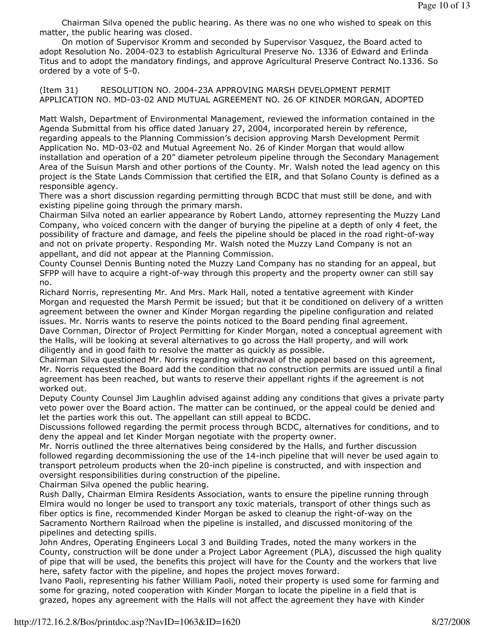Chairman Silva opened the public hearing. As there was no one who wished to speak on this matter, the public hearing was closed.

 On motion of Supervisor Kromm and seconded by Supervisor Vasquez, the Board acted to adopt Resolution No. 2004-023 to establish Agricultural Preserve No. 1336 of Edward and Erlinda Titus and to adopt the mandatory findings, and approve Agricultural Preserve Contract No.1336. So ordered by a vote of 5-0.

(Item 31) RESOLUTION NO. 2004-23A APPROVING MARSH DEVELOPMENT PERMIT APPLICATION NO. MD-03-02 AND MUTUAL AGREEMENT NO. 26 OF KINDER MORGAN, ADOPTED

Matt Walsh, Department of Environmental Management, reviewed the information contained in the Agenda Submittal from his office dated January 27, 2004, incorporated herein by reference, regarding appeals to the Planning Commission's decision approving Marsh Development Permit Application No. MD-03-02 and Mutual Agreement No. 26 of Kinder Morgan that would allow installation and operation of a 20" diameter petroleum pipeline through the Secondary Management Area of the Suisun Marsh and other portions of the County. Mr. Walsh noted the lead agency on this project is the State Lands Commission that certified the EIR, and that Solano County is defined as a responsible agency.

There was a short discussion regarding permitting through BCDC that must still be done, and with existing pipeline going through the primary marsh.

Chairman Silva noted an earlier appearance by Robert Lando, attorney representing the Muzzy Land Company, who voiced concern with the danger of burying the pipeline at a depth of only 4 feet, the possibility of fracture and damage, and feels the pipeline should be placed in the road right-of-way and not on private property. Responding Mr. Walsh noted the Muzzy Land Company is not an appellant, and did not appear at the Planning Commission.

County Counsel Dennis Bunting noted the Muzzy Land Company has no standing for an appeal, but SFPP will have to acquire a right-of-way through this property and the property owner can still say no.

Richard Norris, representing Mr. And Mrs. Mark Hall, noted a tentative agreement with Kinder Morgan and requested the Marsh Permit be issued; but that it be conditioned on delivery of a written agreement between the owner and Kinder Morgan regarding the pipeline configuration and related issues. Mr. Norris wants to reserve the points noticed to the Board pending final agreement. Dave Cornman, Director of Project Permitting for Kinder Morgan, noted a conceptual agreement with the Halls, will be looking at several alternatives to go across the Hall property, and will work diligently and in good faith to resolve the matter as quickly as possible.

Chairman Silva questioned Mr. Norris regarding withdrawal of the appeal based on this agreement, Mr. Norris requested the Board add the condition that no construction permits are issued until a final agreement has been reached, but wants to reserve their appellant rights if the agreement is not worked out.

Deputy County Counsel Jim Laughlin advised against adding any conditions that gives a private party veto power over the Board action. The matter can be continued, or the appeal could be denied and let the parties work this out. The appellant can still appeal to BCDC.

Discussions followed regarding the permit process through BCDC, alternatives for conditions, and to deny the appeal and let Kinder Morgan negotiate with the property owner.

Mr. Norris outlined the three alternatives being considered by the Halls, and further discussion followed regarding decommissioning the use of the 14-inch pipeline that will never be used again to transport petroleum products when the 20-inch pipeline is constructed, and with inspection and oversight responsibilities during construction of the pipeline.

Chairman Silva opened the public hearing.

Rush Dally, Chairman Elmira Residents Association, wants to ensure the pipeline running through Elmira would no longer be used to transport any toxic materials, transport of other things such as fiber optics is fine, recommended Kinder Morgan be asked to cleanup the right-of-way on the Sacramento Northern Railroad when the pipeline is installed, and discussed monitoring of the pipelines and detecting spills.

John Andres, Operating Engineers Local 3 and Building Trades, noted the many workers in the County, construction will be done under a Project Labor Agreement (PLA), discussed the high quality of pipe that will be used, the benefits this project will have for the County and the workers that live here, safety factor with the pipeline, and hopes the project moves forward.

Ivano Paoli, representing his father William Paoli, noted their property is used some for farming and some for grazing, noted cooperation with Kinder Morgan to locate the pipeline in a field that is grazed, hopes any agreement with the Halls will not affect the agreement they have with Kinder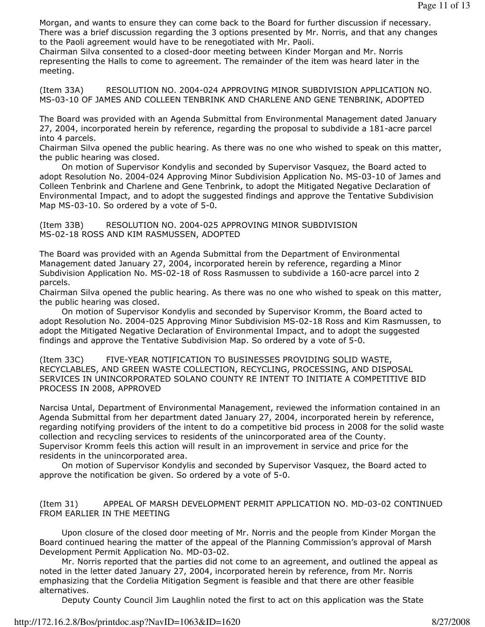Morgan, and wants to ensure they can come back to the Board for further discussion if necessary. There was a brief discussion regarding the 3 options presented by Mr. Norris, and that any changes to the Paoli agreement would have to be renegotiated with Mr. Paoli.

Chairman Silva consented to a closed-door meeting between Kinder Morgan and Mr. Norris representing the Halls to come to agreement. The remainder of the item was heard later in the meeting.

(Item 33A) RESOLUTION NO. 2004-024 APPROVING MINOR SUBDIVISION APPLICATION NO. MS-03-10 OF JAMES AND COLLEEN TENBRINK AND CHARLENE AND GENE TENBRINK, ADOPTED

The Board was provided with an Agenda Submittal from Environmental Management dated January 27, 2004, incorporated herein by reference, regarding the proposal to subdivide a 181-acre parcel into 4 parcels.

Chairman Silva opened the public hearing. As there was no one who wished to speak on this matter, the public hearing was closed.

 On motion of Supervisor Kondylis and seconded by Supervisor Vasquez, the Board acted to adopt Resolution No. 2004-024 Approving Minor Subdivision Application No. MS-03-10 of James and Colleen Tenbrink and Charlene and Gene Tenbrink, to adopt the Mitigated Negative Declaration of Environmental Impact, and to adopt the suggested findings and approve the Tentative Subdivision Map MS-03-10. So ordered by a vote of 5-0.

(Item 33B) RESOLUTION NO. 2004-025 APPROVING MINOR SUBDIVISION MS-02-18 ROSS AND KIM RASMUSSEN, ADOPTED

The Board was provided with an Agenda Submittal from the Department of Environmental Management dated January 27, 2004, incorporated herein by reference, regarding a Minor Subdivision Application No. MS-02-18 of Ross Rasmussen to subdivide a 160-acre parcel into 2 parcels.

Chairman Silva opened the public hearing. As there was no one who wished to speak on this matter, the public hearing was closed.

 On motion of Supervisor Kondylis and seconded by Supervisor Kromm, the Board acted to adopt Resolution No. 2004-025 Approving Minor Subdivision MS-02-18 Ross and Kim Rasmussen, to adopt the Mitigated Negative Declaration of Environmental Impact, and to adopt the suggested findings and approve the Tentative Subdivision Map. So ordered by a vote of 5-0.

(Item 33C) FIVE-YEAR NOTIFICATION TO BUSINESSES PROVIDING SOLID WASTE, RECYCLABLES, AND GREEN WASTE COLLECTION, RECYCLING, PROCESSING, AND DISPOSAL SERVICES IN UNINCORPORATED SOLANO COUNTY RE INTENT TO INITIATE A COMPETITIVE BID PROCESS IN 2008, APPROVED

Narcisa Untal, Department of Environmental Management, reviewed the information contained in an Agenda Submittal from her department dated January 27, 2004, incorporated herein by reference, regarding notifying providers of the intent to do a competitive bid process in 2008 for the solid waste collection and recycling services to residents of the unincorporated area of the County. Supervisor Kromm feels this action will result in an improvement in service and price for the residents in the unincorporated area.

 On motion of Supervisor Kondylis and seconded by Supervisor Vasquez, the Board acted to approve the notification be given. So ordered by a vote of 5-0.

(Item 31) APPEAL OF MARSH DEVELOPMENT PERMIT APPLICATION NO. MD-03-02 CONTINUED FROM EARLIER IN THE MEETING

 Upon closure of the closed door meeting of Mr. Norris and the people from Kinder Morgan the Board continued hearing the matter of the appeal of the Planning Commission's approval of Marsh Development Permit Application No. MD-03-02.

 Mr. Norris reported that the parties did not come to an agreement, and outlined the appeal as noted in the letter dated January 27, 2004, incorporated herein by reference, from Mr. Norris emphasizing that the Cordelia Mitigation Segment is feasible and that there are other feasible alternatives.

Deputy County Council Jim Laughlin noted the first to act on this application was the State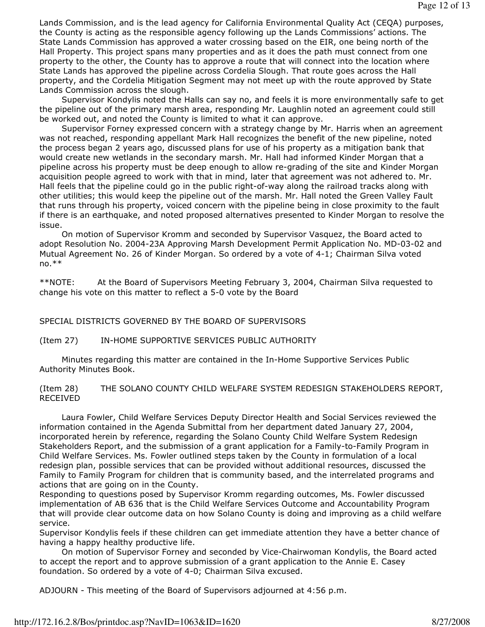Lands Commission, and is the lead agency for California Environmental Quality Act (CEQA) purposes, the County is acting as the responsible agency following up the Lands Commissions' actions. The State Lands Commission has approved a water crossing based on the EIR, one being north of the Hall Property. This project spans many properties and as it does the path must connect from one property to the other, the County has to approve a route that will connect into the location where State Lands has approved the pipeline across Cordelia Slough. That route goes across the Hall property, and the Cordelia Mitigation Segment may not meet up with the route approved by State Lands Commission across the slough.

 Supervisor Kondylis noted the Halls can say no, and feels it is more environmentally safe to get the pipeline out of the primary marsh area, responding Mr. Laughlin noted an agreement could still be worked out, and noted the County is limited to what it can approve.

 Supervisor Forney expressed concern with a strategy change by Mr. Harris when an agreement was not reached, responding appellant Mark Hall recognizes the benefit of the new pipeline, noted the process began 2 years ago, discussed plans for use of his property as a mitigation bank that would create new wetlands in the secondary marsh. Mr. Hall had informed Kinder Morgan that a pipeline across his property must be deep enough to allow re-grading of the site and Kinder Morgan acquisition people agreed to work with that in mind, later that agreement was not adhered to. Mr. Hall feels that the pipeline could go in the public right-of-way along the railroad tracks along with other utilities; this would keep the pipeline out of the marsh. Mr. Hall noted the Green Valley Fault that runs through his property, voiced concern with the pipeline being in close proximity to the fault if there is an earthquake, and noted proposed alternatives presented to Kinder Morgan to resolve the issue.

 On motion of Supervisor Kromm and seconded by Supervisor Vasquez, the Board acted to adopt Resolution No. 2004-23A Approving Marsh Development Permit Application No. MD-03-02 and Mutual Agreement No. 26 of Kinder Morgan. So ordered by a vote of 4-1; Chairman Silva voted  $no.**$ 

\*\*NOTE: At the Board of Supervisors Meeting February 3, 2004, Chairman Silva requested to change his vote on this matter to reflect a 5-0 vote by the Board

SPECIAL DISTRICTS GOVERNED BY THE BOARD OF SUPERVISORS

(Item 27) IN-HOME SUPPORTIVE SERVICES PUBLIC AUTHORITY

 Minutes regarding this matter are contained in the In-Home Supportive Services Public Authority Minutes Book.

(Item 28) THE SOLANO COUNTY CHILD WELFARE SYSTEM REDESIGN STAKEHOLDERS REPORT, RECEIVED

 Laura Fowler, Child Welfare Services Deputy Director Health and Social Services reviewed the information contained in the Agenda Submittal from her department dated January 27, 2004, incorporated herein by reference, regarding the Solano County Child Welfare System Redesign Stakeholders Report, and the submission of a grant application for a Family-to-Family Program in Child Welfare Services. Ms. Fowler outlined steps taken by the County in formulation of a local redesign plan, possible services that can be provided without additional resources, discussed the Family to Family Program for children that is community based, and the interrelated programs and actions that are going on in the County.

Responding to questions posed by Supervisor Kromm regarding outcomes, Ms. Fowler discussed implementation of AB 636 that is the Child Welfare Services Outcome and Accountability Program that will provide clear outcome data on how Solano County is doing and improving as a child welfare service.

Supervisor Kondylis feels if these children can get immediate attention they have a better chance of having a happy healthy productive life.

 On motion of Supervisor Forney and seconded by Vice-Chairwoman Kondylis, the Board acted to accept the report and to approve submission of a grant application to the Annie E. Casey foundation. So ordered by a vote of 4-0; Chairman Silva excused.

ADJOURN - This meeting of the Board of Supervisors adjourned at 4:56 p.m.